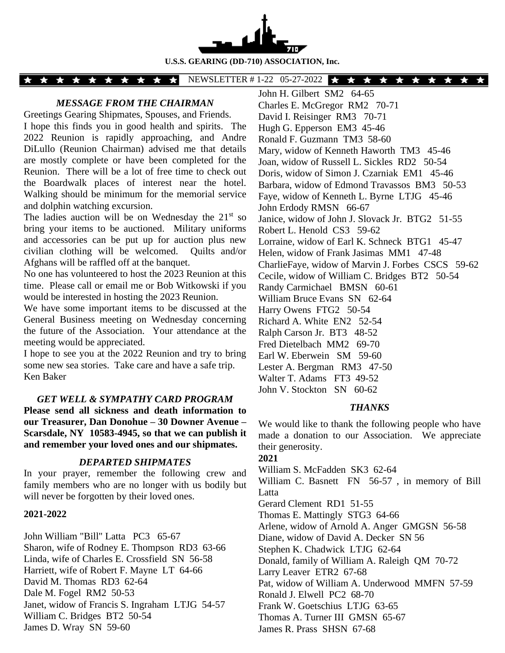

**U.S.S. GEARING (DD-710) ASSOCIATION, Inc.**

#### NEWSLETTER #1-22 05-27-2022 <del>★ ★ ★ ★ ★ ★ ★ ★ ★ ★</del> \* \* \* \* \* \* \* \* \* \*

## *MESSAGE FROM THE CHAIRMAN*

Greetings Gearing Shipmates, Spouses, and Friends.

I hope this finds you in good health and spirits. The 2022 Reunion is rapidly approaching, and Andre DiLullo (Reunion Chairman) advised me that details are mostly complete or have been completed for the Reunion. There will be a lot of free time to check out the Boardwalk places of interest near the hotel. Walking should be minimum for the memorial service and dolphin watching excursion.

The ladies auction will be on Wednesday the  $21<sup>st</sup>$  so bring your items to be auctioned. Military uniforms and accessories can be put up for auction plus new civilian clothing will be welcomed. Quilts and/or Afghans will be raffled off at the banquet.

No one has volunteered to host the 2023 Reunion at this time. Please call or email me or Bob Witkowski if you would be interested in hosting the 2023 Reunion.

We have some important items to be discussed at the General Business meeting on Wednesday concerning the future of the Association. Your attendance at the meeting would be appreciated.

I hope to see you at the 2022 Reunion and try to bring some new sea stories. Take care and have a safe trip. Ken Baker

#### *GET WELL & SYMPATHY CARD PROGRAM*

**Please send all sickness and death information to our Treasurer, Dan Donohue – 30 Downer Avenue – Scarsdale, NY 10583-4945, so that we can publish it and remember your loved ones and our shipmates.**

# *DEPARTED SHIPMATES*

In your prayer, remember the following crew and family members who are no longer with us bodily but will never be forgotten by their loved ones.

#### **2021-2022**

John William "Bill" Latta PC3 65-67 Sharon, wife of Rodney E. Thompson RD3 63-66 Linda, wife of Charles E. Crossfield SN 56-58 Harriett, wife of Robert F. Mayne LT 64-66 David M. Thomas RD3 62-64 Dale M. Fogel RM2 50-53 Janet, widow of Francis S. Ingraham LTJG 54-57 William C. Bridges BT2 50-54 James D. Wray SN 59-60

John H. Gilbert SM2 64-65 Charles E. McGregor RM2 70-71 David I. Reisinger RM3 70-71 Hugh G. Epperson EM3 45-46 Ronald F. Guzmann TM3 58-60 Mary, widow of Kenneth Haworth TM3 45-46 Joan, widow of Russell L. Sickles RD2 50-54 Doris, widow of Simon J. Czarniak EM1 45-46 Barbara, widow of Edmond Travassos BM3 50-53 Faye, widow of Kenneth L. Byrne LTJG 45-46 John Erdody RMSN 66-67 Janice, widow of John J. Slovack Jr. BTG2 51-55 Robert L. Henold CS3 59-62 Lorraine, widow of Earl K. Schneck BTG1 45-47 Helen, widow of Frank Jasimas MM1 47-48 CharlieFaye, widow of Marvin J. Forbes CSCS 59-62 Cecile, widow of William C. Bridges BT2 50-54 Randy Carmichael BMSN 60-61 William Bruce Evans SN 62-64 Harry Owens FTG2 50-54 Richard A. White EN2 52-54 Ralph Carson Jr. BT3 48-52 Fred Dietelbach MM2 69-70 Earl W. Eberwein SM 59-60 Lester A. Bergman RM3 47-50 Walter T. Adams FT3 49-52 John V. Stockton SN 60-62

#### *THANKS*

We would like to thank the following people who have made a donation to our Association. We appreciate their generosity.

**2021**

William S. McFadden SK3 62-64

William C. Basnett FN 56-57 , in memory of Bill Latta

Gerard Clement RD1 51-55

Thomas E. Mattingly STG3 64-66

Arlene, widow of Arnold A. Anger GMGSN 56-58

Diane, widow of David A. Decker SN 56

Stephen K. Chadwick LTJG 62-64

Donald, family of William A. Raleigh QM 70-72

Larry Leaver ETR2 67-68

Pat, widow of William A. Underwood MMFN 57-59

Ronald J. Elwell PC2 68-70

Frank W. Goetschius LTJG 63-65

Thomas A. Turner III GMSN 65-67

James R. Prass SHSN 67-68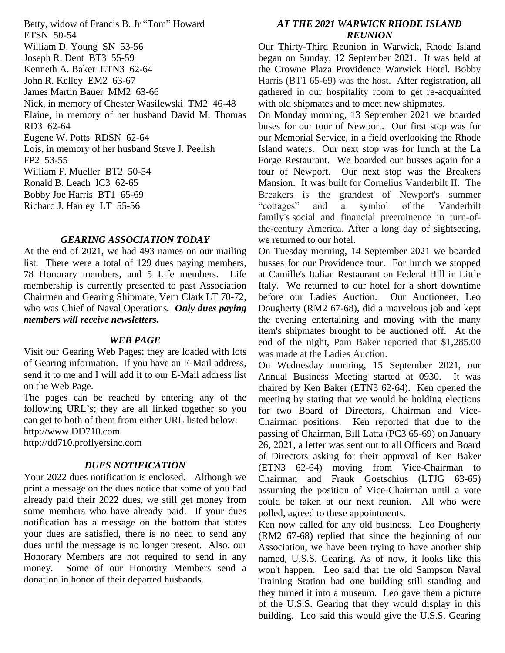Betty, widow of Francis B. Jr "Tom" Howard ETSN 50-54 William D. Young SN 53-56 Joseph R. Dent BT3 55-59 Kenneth A. Baker ETN3 62-64 John R. Kelley EM2 63-67 James Martin Bauer MM2 63-66 Nick, in memory of Chester Wasilewski TM2 46-48 Elaine, in memory of her husband David M. Thomas RD3 62-64 Eugene W. Potts RDSN 62-64 Lois, in memory of her husband Steve J. Peelish FP2 53-55 William F. Mueller BT2 50-54 Ronald B. Leach IC3 62-65 Bobby Joe Harris BT1 65-69 Richard J. Hanley LT 55-56

## *GEARING ASSOCIATION TODAY*

At the end of 2021, we had 493 names on our mailing list. There were a total of 129 dues paying members, 78 Honorary members, and 5 Life members. Life membership is currently presented to past Association Chairmen and Gearing Shipmate, Vern Clark LT 70-72, who was Chief of Naval Operations*. Only dues paying members will receive newsletters.*

#### *WEB PAGE*

Visit our Gearing Web Pages; they are loaded with lots of Gearing information. If you have an E-Mail address, send it to me and I will add it to our E-Mail address list on the Web Page.

The pages can be reached by entering any of the following URL's; they are all linked together so you can get to both of them from either URL listed below: http://www.DD710.com

http://dd710.proflyersinc.com

## *DUES NOTIFICATION*

Your 2022 dues notification is enclosed. Although we print a message on the dues notice that some of you had already paid their 2022 dues, we still get money from some members who have already paid. If your dues notification has a message on the bottom that states your dues are satisfied, there is no need to send any dues until the message is no longer present. Also, our Honorary Members are not required to send in any money. Some of our Honorary Members send a donation in honor of their departed husbands.

# *AT THE 2021 WARWICK RHODE ISLAND REUNION*

Our Thirty-Third Reunion in Warwick, Rhode Island began on Sunday, 12 September 2021. It was held at the Crowne Plaza Providence Warwick Hotel. Bobby Harris (BT1 65-69) was the host. After registration, all gathered in our hospitality room to get re-acquainted with old shipmates and to meet new shipmates.

On Monday morning, 13 September 2021 we boarded buses for our tour of Newport. Our first stop was for our Memorial Service, in a field overlooking the Rhode Island waters. Our next stop was for lunch at the La Forge Restaurant. We boarded our busses again for a tour of Newport. Our next stop was the Breakers Mansion. It was built for Cornelius Vanderbilt II. The Breakers is the grandest of Newport's summer "cottages" and a symbol of the Vanderbilt family's social and financial preeminence in turn-ofthe-century America. After a long day of sightseeing, we returned to our hotel.

On Tuesday morning, 14 September 2021 we boarded busses for our Providence tour. For lunch we stopped at Camille's Italian Restaurant on Federal Hill in Little Italy. We returned to our hotel for a short downtime before our Ladies Auction. Our Auctioneer, Leo Dougherty (RM2 67-68), did a marvelous job and kept the evening entertaining and moving with the many item's shipmates brought to be auctioned off. At the end of the night, Pam Baker reported that \$1,285.00 was made at the Ladies Auction.

On Wednesday morning, 15 September 2021, our Annual Business Meeting started at 0930. It was chaired by Ken Baker (ETN3 62-64). Ken opened the meeting by stating that we would be holding elections for two Board of Directors, Chairman and Vice-Chairman positions. Ken reported that due to the passing of Chairman, Bill Latta (PC3 65-69) on January 26, 2021, a letter was sent out to all Officers and Board of Directors asking for their approval of Ken Baker (ETN3 62-64) moving from Vice-Chairman to Chairman and Frank Goetschius (LTJG 63-65) assuming the position of Vice-Chairman until a vote could be taken at our next reunion. All who were polled, agreed to these appointments.

Ken now called for any old business. Leo Dougherty (RM2 67-68) replied that since the beginning of our Association, we have been trying to have another ship named, U.S.S. Gearing. As of now, it looks like this won't happen. Leo said that the old Sampson Naval Training Station had one building still standing and they turned it into a museum. Leo gave them a picture of the U.S.S. Gearing that they would display in this building. Leo said this would give the U.S.S. Gearing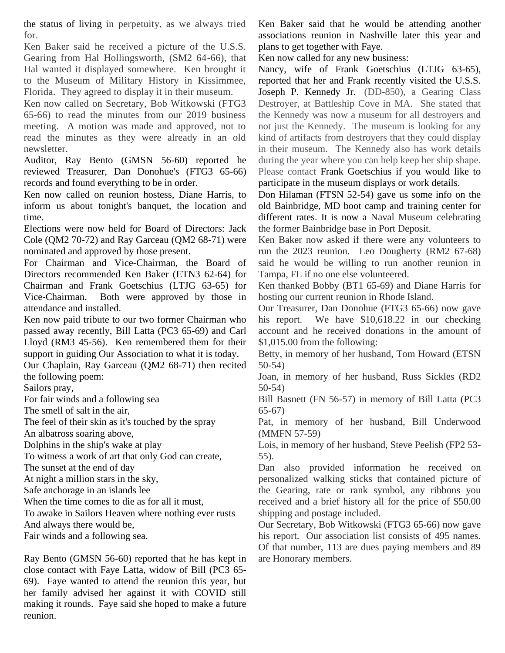the status of living in perpetuity, as we always tried for.

Ken Baker said he received a picture of the U.S.S. Gearing from Hal Hollingsworth, (SM2 64-66), that Hal wanted it displayed somewhere. Ken brought it to the Museum of Military History in Kissimmee, Florida. They agreed to display it in their museum.

Ken now called on Secretary, Bob Witkowski (FTG3 65-66) to read the minutes from our 2019 business meeting. A motion was made and approved, not to read the minutes as they were already in an old newsletter.

Auditor, Ray Bento (GMSN 56-60) reported he reviewed Treasurer, Dan Donohue's (FTG3 65-66) records and found everything to be in order.

Ken now called on reunion hostess, Diane Harris, to inform us about tonight's banquet, the location and time.

Elections were now held for Board of Directors: Jack Cole (QM2 70-72) and Ray Garceau (QM2 68-71) were nominated and approved by those present.

For Chairman and Vice-Chairman, the Board of Directors recommended Ken Baker (ETN3 62-64) for Chairman and Frank Goetschius (LTJG 63-65) for Vice-Chairman. Both were approved by those in attendance and installed.

Ken now paid tribute to our two former Chairman who passed away recently, Bill Latta (PC3 65-69) and Carl Lloyd (RM3 45-56). Ken remembered them for their support in guiding Our Association to what it is today.

Our Chaplain, Ray Garceau (QM2 68-71) then recited the following poem:

Sailors pray,

For fair winds and a following sea

The smell of salt in the air,

The feel of their skin as it's touched by the spray

An albatross soaring above,

Dolphins in the ship's wake at play

To witness a work of art that only God can create,

The sunset at the end of day

At night a million stars in the sky,

Safe anchorage in an islands lee

When the time comes to die as for all it must,

To awake in Sailors Heaven where nothing ever rusts

And always there would be,

Fair winds and a following sea.

Ray Bento (GMSN 56-60) reported that he has kept in close contact with Faye Latta, widow of Bill (PC3 65- 69). Faye wanted to attend the reunion this year, but her family advised her against it with COVID still making it rounds. Faye said she hoped to make a future reunion.

Ken Baker said that he would be attending another associations reunion in Nashville later this year and plans to get together with Faye.

Ken now called for any new business:

Nancy, wife of Frank Goetschius (LTJG 63-65), reported that her and Frank recently visited the U.S.S. Joseph P. Kennedy Jr. (DD-850), a Gearing Class Destroyer, at Battleship Cove in MA. She stated that the Kennedy was now a museum for all destroyers and not just the Kennedy. The museum is looking for any kind of artifacts from destroyers that they could display in their museum. The Kennedy also has work details during the year where you can help keep her ship shape. Please contact Frank Goetschius if you would like to participate in the museum displays or work details.

Don Hilaman (FTSN 52-54) gave us some info on the old Bainbridge, MD boot camp and training center for different rates. It is now a Naval Museum celebrating the former Bainbridge base in Port Deposit.

Ken Baker now asked if there were any volunteers to run the 2023 reunion. Leo Dougherty (RM2 67-68) said he would be willing to run another reunion in Tampa, FL if no one else volunteered.

Ken thanked Bobby (BT1 65-69) and Diane Harris for hosting our current reunion in Rhode Island.

Our Treasurer, Dan Donohue (FTG3 65-66) now gave his report. We have \$10,618.22 in our checking account and he received donations in the amount of \$1,015.00 from the following:

Betty, in memory of her husband, Tom Howard (ETSN 50-54)

Joan, in memory of her husband, Russ Sickles (RD2 50-54)

Bill Basnett (FN 56-57) in memory of Bill Latta (PC3 65-67)

Pat, in memory of her husband, Bill Underwood (MMFN 57-59)

Lois, in memory of her husband, Steve Peelish (FP2 53- 55).

Dan also provided information he received on personalized walking sticks that contained picture of the Gearing, rate or rank symbol, any ribbons you received and a brief history all for the price of \$50.00 shipping and postage included.

Our Secretary, Bob Witkowski (FTG3 65-66) now gave his report. Our association list consists of 495 names. Of that number, 113 are dues paying members and 89 are Honorary members.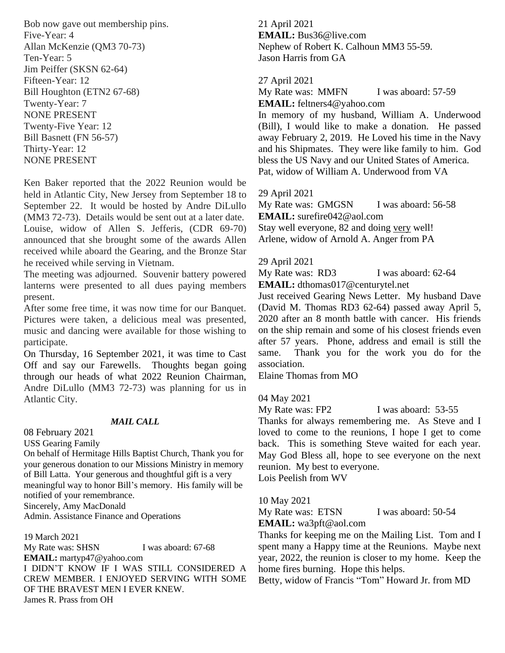Bob now gave out membership pins. Five-Year: 4 Allan McKenzie (QM3 70-73) Ten-Year: 5 Jim Peiffer (SKSN 62-64) Fifteen-Year: 12 Bill Houghton (ETN2 67-68) Twenty-Year: 7 NONE PRESENT Twenty-Five Year: 12 Bill Basnett (FN 56-57) Thirty-Year: 12 NONE PRESENT

Ken Baker reported that the 2022 Reunion would be held in Atlantic City, New Jersey from September 18 to September 22. It would be hosted by Andre DiLullo (MM3 72-73). Details would be sent out at a later date. Louise, widow of Allen S. Jefferis, (CDR 69-70) announced that she brought some of the awards Allen received while aboard the Gearing, and the Bronze Star he received while serving in Vietnam.

The meeting was adjourned. Souvenir battery powered lanterns were presented to all dues paying members present.

After some free time, it was now time for our Banquet. Pictures were taken, a delicious meal was presented, music and dancing were available for those wishing to participate.

On Thursday, 16 September 2021, it was time to Cast Off and say our Farewells. Thoughts began going through our heads of what 2022 Reunion Chairman, Andre DiLullo (MM3 72-73) was planning for us in Atlantic City.

## *MAIL CALL*

08 February 2021

USS Gearing Family

On behalf of Hermitage Hills Baptist Church, Thank you for your generous donation to our Missions Ministry in memory of Bill Latta. Your generous and thoughtful gift is a very meaningful way to honor Bill's memory. His family will be notified of your remembrance.

Sincerely, Amy MacDonald

Admin. Assistance Finance and Operations

19 March 2021 My Rate was: SHSN I was aboard: 67-68 **EMAIL:** martyp47@yahoo.com I DIDN'T KNOW IF I WAS STILL CONSIDERED A CREW MEMBER. I ENJOYED SERVING WITH SOME OF THE BRAVEST MEN I EVER KNEW. James R. Prass from OH

21 April 2021 **EMAIL:** Bus36@live.com Nephew of Robert K. Calhoun MM3 55-59. Jason Harris from GA

27 April 2021

My Rate was: MMFN I was aboard: 57-59 **EMAIL:** feltners4@yahoo.com

In memory of my husband, William A. Underwood (Bill), I would like to make a donation. He passed away February 2, 2019. He Loved his time in the Navy and his Shipmates. They were like family to him. God bless the US Navy and our United States of America. Pat, widow of William A. Underwood from VA

# 29 April 2021

My Rate was: GMGSN I was aboard: 56-58 **EMAIL:** surefire042@aol.com Stay well everyone, 82 and doing very well! Arlene, widow of Arnold A. Anger from PA

29 April 2021

My Rate was: RD3 I was aboard: 62-64 **EMAIL:** dthomas017@centurytel.net

Just received Gearing News Letter. My husband Dave (David M. Thomas RD3 62-64) passed away April 5, 2020 after an 8 month battle with cancer. His friends on the ship remain and some of his closest friends even after 57 years. Phone, address and email is still the same. Thank you for the work you do for the association.

Elaine Thomas from MO

04 May 2021

My Rate was: FP2 I was aboard: 53-55 Thanks for always remembering me. As Steve and I loved to come to the reunions, I hope I get to come back. This is something Steve waited for each year. May God Bless all, hope to see everyone on the next reunion. My best to everyone.

Lois Peelish from WV

10 May 2021

My Rate was: ETSN I was aboard: 50-54

**EMAIL:** wa3pft@aol.com

Thanks for keeping me on the Mailing List. Tom and I spent many a Happy time at the Reunions. Maybe next year, 2022, the reunion is closer to my home. Keep the home fires burning. Hope this helps.

Betty, widow of Francis "Tom" Howard Jr. from MD